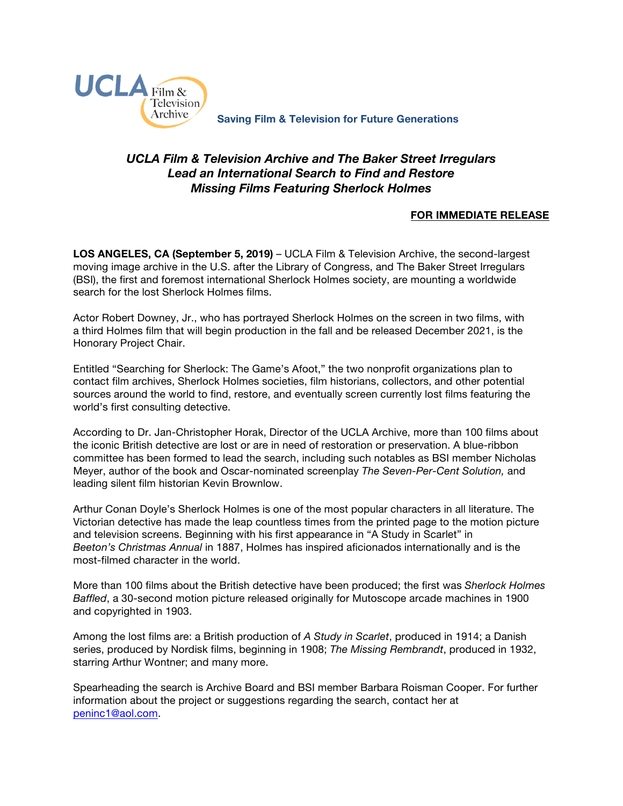

**Saving Film & Television for Future Generations**

# *UCLA Film & Television Archive and The Baker Street Irregulars Lead an International Search to Find and Restore Missing Films Featuring Sherlock Holmes*

## **FOR IMMEDIATE RELEASE**

**LOS ANGELES, CA (September 5, 2019)** – UCLA Film & Television Archive, the second-largest moving image archive in the U.S. after the Library of Congress, and The Baker Street Irregulars (BSI), the first and foremost international Sherlock Holmes society, are mounting a worldwide search for the lost Sherlock Holmes films.

Actor Robert Downey, Jr., who has portrayed Sherlock Holmes on the screen in two films, with a third Holmes film that will begin production in the fall and be released December 2021, is the Honorary Project Chair.

Entitled "Searching for Sherlock: The Game's Afoot," the two nonprofit organizations plan to contact film archives, Sherlock Holmes societies, film historians, collectors, and other potential sources around the world to find, restore, and eventually screen currently lost films featuring the world's first consulting detective.

According to Dr. Jan-Christopher Horak, Director of the UCLA Archive, more than 100 films about the iconic British detective are lost or are in need of restoration or preservation. A blue-ribbon committee has been formed to lead the search, including such notables as BSI member Nicholas Meyer, author of the book and Oscar-nominated screenplay *The Seven-Per-Cent Solution,* and leading silent film historian Kevin Brownlow.

Arthur Conan Doyle's Sherlock Holmes is one of the most popular characters in all literature. The Victorian detective has made the leap countless times from the printed page to the motion picture and television screens. Beginning with his first appearance in "A Study in Scarlet" in *Beeton's Christmas Annual* in 1887, Holmes has inspired aficionados internationally and is the most-filmed character in the world.

More than 100 films about the British detective have been produced; the first was *Sherlock Holmes Baffled*, a 30-second motion picture released originally for Mutoscope arcade machines in 1900 and copyrighted in 1903.

Among the lost films are: a British production of *A Study in Scarlet*, produced in 1914; a Danish series, produced by Nordisk films, beginning in 1908; *The Missing Rembrandt*, produced in 1932, starring Arthur Wontner; and many more.

Spearheading the search is Archive Board and BSI member Barbara Roisman Cooper. For further information about the project or suggestions regarding the search, contact her at peninc1@aol.com.